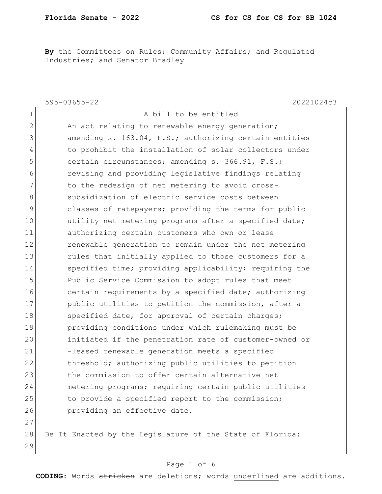By the Committees on Rules; Community Affairs; and Regulated Industries; and Senator Bradley

|                | 20221024c3<br>$595 - 03655 - 22$                          |
|----------------|-----------------------------------------------------------|
| $\mathbf 1$    | A bill to be entitled                                     |
| $\overline{2}$ | An act relating to renewable energy generation;           |
| 3              | amending s. 163.04, F.S.; authorizing certain entities    |
| $\overline{4}$ | to prohibit the installation of solar collectors under    |
| 5              | certain circumstances; amending s. 366.91, F.S.;          |
| 6              | revising and providing legislative findings relating      |
| 7              | to the redesign of net metering to avoid cross-           |
| 8              | subsidization of electric service costs between           |
| 9              | classes of ratepayers; providing the terms for public     |
| 10             | utility net metering programs after a specified date;     |
| 11             | authorizing certain customers who own or lease            |
| 12             | renewable generation to remain under the net metering     |
| 13             | rules that initially applied to those customers for a     |
| 14             | specified time; providing applicability; requiring the    |
| 15             | Public Service Commission to adopt rules that meet        |
| 16             | certain requirements by a specified date; authorizing     |
| 17             | public utilities to petition the commission, after a      |
| 18             | specified date, for approval of certain charges;          |
| 19             | providing conditions under which rulemaking must be       |
| 20             | initiated if the penetration rate of customer-owned or    |
| 21             | -leased renewable generation meets a specified            |
| 22             | threshold; authorizing public utilities to petition       |
| 23             | the commission to offer certain alternative net           |
| 24             | metering programs; requiring certain public utilities     |
| 25             | to provide a specified report to the commission;          |
| 26             | providing an effective date.                              |
| 27             |                                                           |
| 28             | Be It Enacted by the Legislature of the State of Florida: |
| 29             |                                                           |

#### Page 1 of 6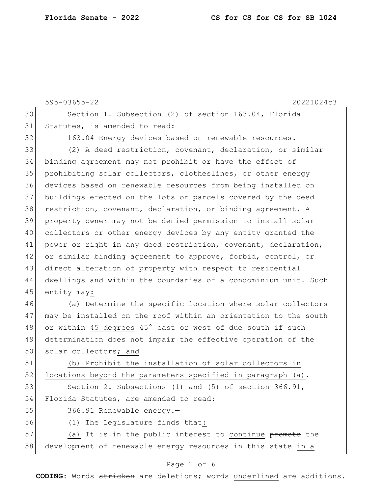595-03655-22 20221024c3 30 Section 1. Subsection (2) of section 163.04, Florida 31 Statutes, is amended to read: 32 163.04 Energy devices based on renewable resources. 33 (2) A deed restriction, covenant, declaration, or similar 34 binding agreement may not prohibit or have the effect of 35 prohibiting solar collectors, clotheslines, or other energy 36 devices based on renewable resources from being installed on 37 buildings erected on the lots or parcels covered by the deed 38 restriction, covenant, declaration, or binding agreement. A 39 property owner may not be denied permission to install solar 40 collectors or other energy devices by any entity granted the 41 power or right in any deed restriction, covenant, declaration, 42 or similar binding agreement to approve, forbid, control, or 43 direct alteration of property with respect to residential 44 dwellings and within the boundaries of a condominium unit. Such 45 entity may: 46 (a) Determine the specific location where solar collectors 47 may be installed on the roof within an orientation to the south 48 or within 45 degrees  $45^{\circ}$  east or west of due south if such 49 determination does not impair the effective operation of the 50 solar collectors; and 51 (b) Prohibit the installation of solar collectors in  $52$  locations beyond the parameters specified in paragraph (a). 53 Section 2. Subsections (1) and (5) of section 366.91, 54 Florida Statutes, are amended to read: 55 366.91 Renewable energy.-56 (1) The Legislature finds that:

57 (a) It is in the public interest to continue promote the 58 development of renewable energy resources in this state in a

#### Page 2 of 6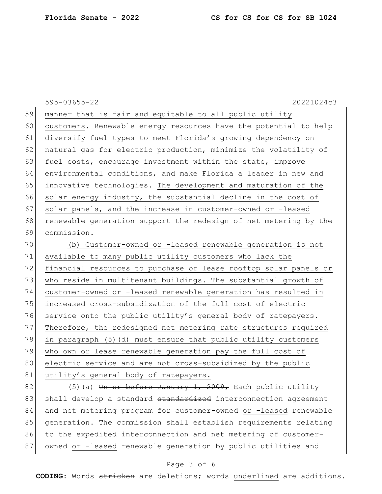595-03655-22 20221024c3 59 manner that is fair and equitable to all public utility 60 customers. Renewable energy resources have the potential to help 61 diversify fuel types to meet Florida's growing dependency on 62 natural gas for electric production, minimize the volatility of 63 fuel costs, encourage investment within the state, improve 64 environmental conditions, and make Florida a leader in new and 65 innovative technologies. The development and maturation of the  $66$  solar energy industry, the substantial decline in the cost of 67 solar panels, and the increase in customer-owned or -leased 68 renewable generation support the redesign of net metering by the 69 commission. 70 (b) Customer-owned or -leased renewable generation is not 71 available to many public utility customers who lack the 72 financial resources to purchase or lease rooftop solar panels or 73 who reside in multitenant buildings. The substantial growth of 74 customer-owned or -leased renewable generation has resulted in 75 increased cross-subsidization of the full cost of electric 76 service onto the public utility's general body of ratepayers. 77 Therefore, the redesigned net metering rate structures required 78 in paragraph  $(5)$  (d) must ensure that public utility customers 79 who own or lease renewable generation pay the full cost of 80 electric service and are not cross-subsidized by the public 81 utility's general body of ratepayers.

82 (5)(a) On or before January 1, 2009, Each public utility 83 shall develop a standard standardized interconnection agreement 84 and net metering program for customer-owned or -leased renewable 85 generation. The commission shall establish requirements relating 86 to the expedited interconnection and net metering of customer-87 owned or -leased renewable generation by public utilities and

#### Page 3 of 6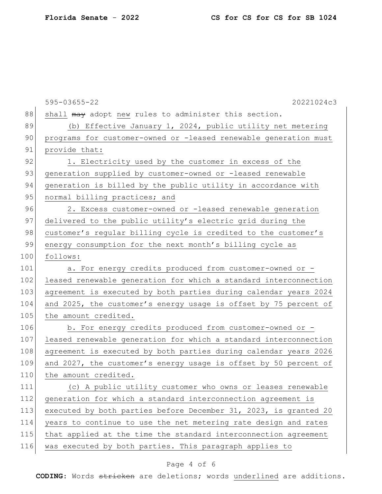|     | $595 - 03655 - 22$<br>20221024c3                                 |
|-----|------------------------------------------------------------------|
| 88  | shall may adopt new rules to administer this section.            |
| 89  | (b) Effective January 1, 2024, public utility net metering       |
| 90  | programs for customer-owned or -leased renewable generation must |
| 91  | provide that:                                                    |
| 92  | 1. Electricity used by the customer in excess of the             |
| 93  | generation supplied by customer-owned or -leased renewable       |
| 94  | generation is billed by the public utility in accordance with    |
| 95  | normal billing practices; and                                    |
| 96  | 2. Excess customer-owned or -leased renewable generation         |
| 97  | delivered to the public utility's electric grid during the       |
| 98  | customer's reqular billing cycle is credited to the customer's   |
| 99  | energy consumption for the next month's billing cycle as         |
| 100 | follows:                                                         |
| 101 | a. For energy credits produced from customer-owned or -          |
| 102 | leased renewable generation for which a standard interconnection |
| 103 | agreement is executed by both parties during calendar years 2024 |
| 104 | and 2025, the customer's energy usage is offset by 75 percent of |
| 105 | the amount credited.                                             |
| 106 | b. For energy credits produced from customer-owned or -          |
| 107 | leased renewable generation for which a standard interconnection |
| 108 | agreement is executed by both parties during calendar years 2026 |
| 109 | and 2027, the customer's energy usage is offset by 50 percent of |
| 110 | the amount credited.                                             |
| 111 | (c) A public utility customer who owns or leases renewable       |
| 112 | generation for which a standard interconnection agreement is     |
| 113 | executed by both parties before December 31, 2023, is granted 20 |
| 114 | years to continue to use the net metering rate design and rates  |
| 115 | that applied at the time the standard interconnection agreement  |
| 116 | was executed by both parties. This paragraph applies to          |
|     |                                                                  |

# Page 4 of 6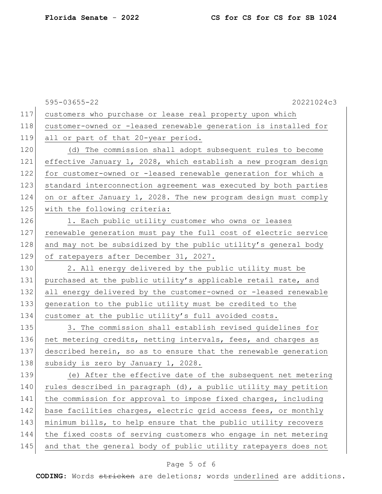|     | 595-03655-22<br>20221024c3                                      |
|-----|-----------------------------------------------------------------|
| 117 | customers who purchase or lease real property upon which        |
| 118 | customer-owned or -leased renewable generation is installed for |
| 119 | all or part of that 20-year period.                             |
| 120 | (d) The commission shall adopt subsequent rules to become       |
| 121 | effective January 1, 2028, which establish a new program design |
| 122 | for customer-owned or -leased renewable generation for which a  |
| 123 | standard interconnection agreement was executed by both parties |
| 124 | on or after January 1, 2028. The new program design must comply |
| 125 | with the following criteria:                                    |
| 126 | 1. Each public utility customer who owns or leases              |
| 127 | renewable generation must pay the full cost of electric service |
| 128 | and may not be subsidized by the public utility's general body  |
| 129 | of ratepayers after December 31, 2027.                          |
| 130 | 2. All energy delivered by the public utility must be           |
| 131 | purchased at the public utility's applicable retail rate, and   |
| 132 | all energy delivered by the customer-owned or -leased renewable |
| 133 | generation to the public utility must be credited to the        |
| 134 | customer at the public utility's full avoided costs.            |
| 135 | 3. The commission shall establish revised guidelines for        |
| 136 | net metering credits, netting intervals, fees, and charges as   |
| 137 | described herein, so as to ensure that the renewable generation |
| 138 | subsidy is zero by January 1, 2028.                             |
| 139 | (e) After the effective date of the subsequent net metering     |
| 140 | rules described in paragraph (d), a public utility may petition |
| 141 | the commission for approval to impose fixed charges, including  |
| 142 | base facilities charges, electric grid access fees, or monthly  |
| 143 | minimum bills, to help ensure that the public utility recovers  |
| 144 | the fixed costs of serving customers who engage in net metering |
| 145 | and that the general body of public utility ratepayers does not |

# Page 5 of 6